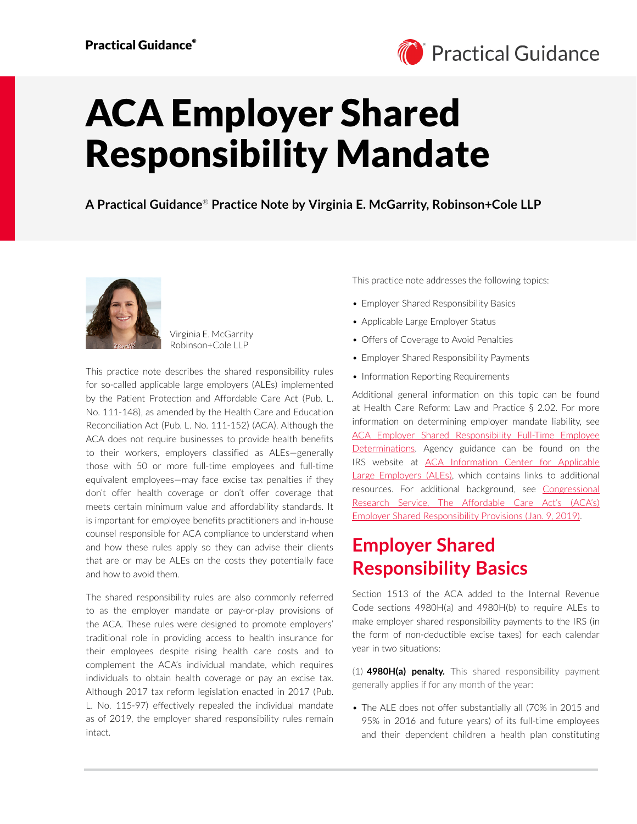

# ACA Employer Shared Responsibility Mandate

**A Practical Guidance**® **Practice Note by Virginia E. McGarrity, Robinson+Cole LLP**



Virginia E. McGarrity Robinson+Cole LLP

This practice note describes the shared responsibility rules for so-called applicable large employers (ALEs) implemented by the Patient Protection and Affordable Care Act (Pub. L. No. 111-148), as amended by the Health Care and Education Reconciliation Act (Pub. L. No. 111-152) (ACA). Although the ACA does not require businesses to provide health benefits to their workers, employers classified as ALEs—generally those with 50 or more full-time employees and full-time equivalent employees—may face excise tax penalties if they don't offer health coverage or don't offer coverage that meets certain minimum value and affordability standards. It is important for employee benefits practitioners and in-house counsel responsible for ACA compliance to understand when and how these rules apply so they can advise their clients that are or may be ALEs on the costs they potentially face and how to avoid them.

The shared responsibility rules are also commonly referred to as the employer mandate or pay-or-play provisions of the ACA. These rules were designed to promote employers' traditional role in providing access to health insurance for their employees despite rising health care costs and to complement the ACA's individual mandate, which requires individuals to obtain health coverage or pay an excise tax. Although 2017 tax reform legislation enacted in 2017 (Pub. L. No. 115-97) effectively repealed the individual mandate as of 2019, the employer shared responsibility rules remain intact.

This practice note addresses the following topics:

- Employer Shared Responsibility Basics
- Applicable Large Employer Status
- Offers of Coverage to Avoid Penalties
- Employer Shared Responsibility Payments
- Information Reporting Requirements

Additional general information on this topic can be found at Health Care Reform: Law and Practice § 2.02. For more information on determining employer mandate liability, see [ACA Employer Shared Responsibility Full-Time Employee](https://advance.lexis.com/open/document/lpadocument/?pdmfid=1000522&pddocfullpath=%2Fshared%2Fdocument%2Fanalytical-materials%2Furn%3AcontentItem%3A5PJW-5P21-FGRY-B2MK-00000-00&pdcontentcomponentid=500749&pdteaserkey=sr0&pditab=allpods&ecomp=ptrg&earg=sr0)  [Determinations.](https://advance.lexis.com/open/document/lpadocument/?pdmfid=1000522&pddocfullpath=%2Fshared%2Fdocument%2Fanalytical-materials%2Furn%3AcontentItem%3A5PJW-5P21-FGRY-B2MK-00000-00&pdcontentcomponentid=500749&pdteaserkey=sr0&pditab=allpods&ecomp=ptrg&earg=sr0) Agency guidance can be found on the IRS website at ACA Information Center for Applicable [Large Employers \(ALEs\),](https://www.irs.gov/affordable-care-act/employers/aca-information-center-for-applicable-large-employers-ales) which contains links to additional resources. For additional background, see [Congressional](https:///crsreports.congress.gov/product/pdf/R/R45455)  [Research Service, The Affordable Care Act's \(ACA's\)](https:///crsreports.congress.gov/product/pdf/R/R45455)  [Employer Shared Responsibility Provisions \(Jan. 9, 2019\).](https:///crsreports.congress.gov/product/pdf/R/R45455)

# **Employer Shared Responsibility Basics**

Section 1513 of the ACA added to the Internal Revenue Code sections 4980H(a) and 4980H(b) to require ALEs to make employer shared responsibility payments to the IRS (in the form of non-deductible excise taxes) for each calendar year in two situations:

(1) **4980H(a) penalty.** This shared responsibility payment generally applies if for any month of the year:

• The ALE does not offer substantially all (70% in 2015 and 95% in 2016 and future years) of its full-time employees and their dependent children a health plan constituting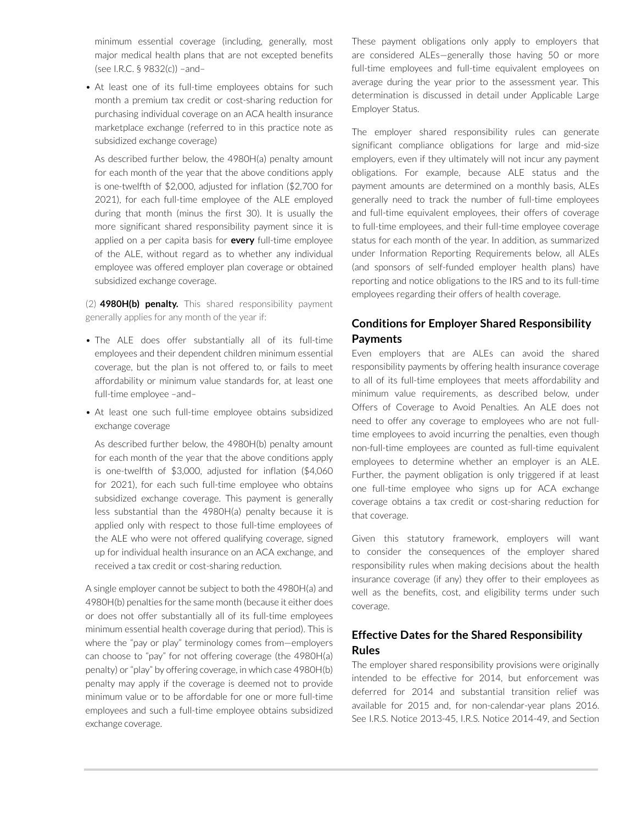minimum essential coverage (including, generally, most major medical health plans that are not excepted benefits (see I.R.C. § 9832(c)) –and–

• At least one of its full-time employees obtains for such month a premium tax credit or cost-sharing reduction for purchasing individual coverage on an ACA health insurance marketplace exchange (referred to in this practice note as subsidized exchange coverage)

As described further below, the 4980H(a) penalty amount for each month of the year that the above conditions apply is one-twelfth of \$2,000, adjusted for inflation (\$2,700 for 2021), for each full-time employee of the ALE employed during that month (minus the first 30). It is usually the more significant shared responsibility payment since it is applied on a per capita basis for **every** full-time employee of the ALE, without regard as to whether any individual employee was offered employer plan coverage or obtained subsidized exchange coverage.

(2) **4980H(b) penalty.** This shared responsibility payment generally applies for any month of the year if:

- The ALE does offer substantially all of its full-time employees and their dependent children minimum essential coverage, but the plan is not offered to, or fails to meet affordability or minimum value standards for, at least one full-time employee –and–
- At least one such full-time employee obtains subsidized exchange coverage

As described further below, the 4980H(b) penalty amount for each month of the year that the above conditions apply is one-twelfth of \$3,000, adjusted for inflation (\$4,060 for 2021), for each such full-time employee who obtains subsidized exchange coverage. This payment is generally less substantial than the 4980H(a) penalty because it is applied only with respect to those full-time employees of the ALE who were not offered qualifying coverage, signed up for individual health insurance on an ACA exchange, and received a tax credit or cost-sharing reduction.

A single employer cannot be subject to both the 4980H(a) and 4980H(b) penalties for the same month (because it either does or does not offer substantially all of its full-time employees minimum essential health coverage during that period). This is where the "pay or play" terminology comes from—employers can choose to "pay" for not offering coverage (the 4980H(a) penalty) or "play" by offering coverage, in which case 4980H(b) penalty may apply if the coverage is deemed not to provide minimum value or to be affordable for one or more full-time employees and such a full-time employee obtains subsidized exchange coverage.

These payment obligations only apply to employers that are considered ALEs—generally those having 50 or more full-time employees and full-time equivalent employees on average during the year prior to the assessment year. This determination is discussed in detail under Applicable Large Employer Status.

The employer shared responsibility rules can generate significant compliance obligations for large and mid-size employers, even if they ultimately will not incur any payment obligations. For example, because ALE status and the payment amounts are determined on a monthly basis, ALEs generally need to track the number of full-time employees and full-time equivalent employees, their offers of coverage to full-time employees, and their full-time employee coverage status for each month of the year. In addition, as summarized under Information Reporting Requirements below, all ALEs (and sponsors of self-funded employer health plans) have reporting and notice obligations to the IRS and to its full-time employees regarding their offers of health coverage.

## **Conditions for Employer Shared Responsibility Payments**

Even employers that are ALEs can avoid the shared responsibility payments by offering health insurance coverage to all of its full-time employees that meets affordability and minimum value requirements, as described below, under Offers of Coverage to Avoid Penalties. An ALE does not need to offer any coverage to employees who are not fulltime employees to avoid incurring the penalties, even though non-full-time employees are counted as full-time equivalent employees to determine whether an employer is an ALE. Further, the payment obligation is only triggered if at least one full-time employee who signs up for ACA exchange coverage obtains a tax credit or cost-sharing reduction for that coverage.

Given this statutory framework, employers will want to consider the consequences of the employer shared responsibility rules when making decisions about the health insurance coverage (if any) they offer to their employees as well as the benefits, cost, and eligibility terms under such coverage.

## **Effective Dates for the Shared Responsibility Rules**

The employer shared responsibility provisions were originally intended to be effective for 2014, but enforcement was deferred for 2014 and substantial transition relief was available for 2015 and, for non-calendar-year plans 2016. See I.R.S. Notice 2013-45, I.R.S. Notice 2014-49, and Section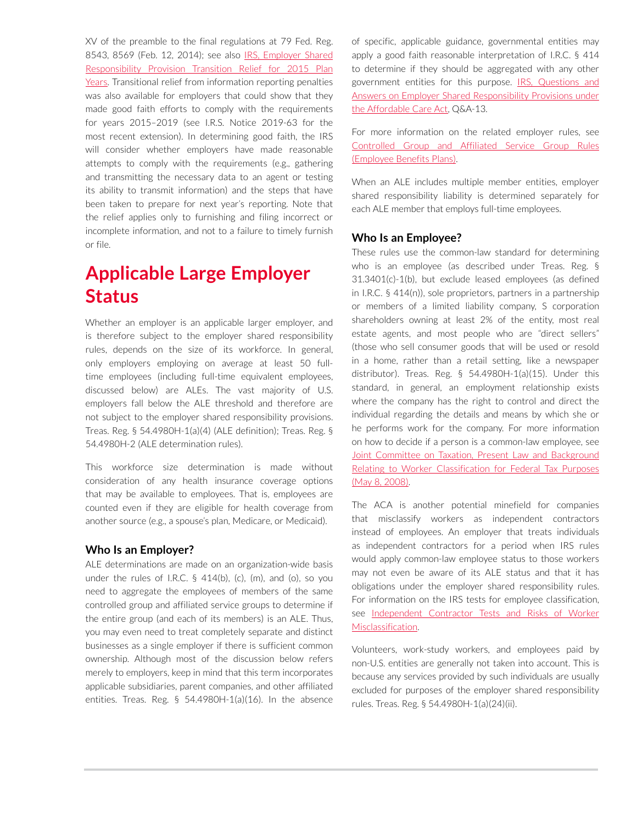XV of the preamble to the final regulations at 79 Fed. Reg. 8543, 8569 (Feb. 12, 2014); see also [IRS, Employer Shared](https://www.irs.gov/affordable-care-act/employers/employer-shared-responsibility-provision-transition-relief-for-2015-plan-years) [Responsibility Provision Transition Relief for 2015 Plan](https://www.irs.gov/affordable-care-act/employers/employer-shared-responsibility-provision-transition-relief-for-2015-plan-years) [Years](https://www.irs.gov/affordable-care-act/employers/employer-shared-responsibility-provision-transition-relief-for-2015-plan-years). Transitional relief from information reporting penalties was also available for employers that could show that they made good faith efforts to comply with the requirements for years 2015–2019 (see I.R.S. Notice 2019-63 for the most recent extension). In determining good faith, the IRS will consider whether employers have made reasonable attempts to comply with the requirements (e.g., gathering and transmitting the necessary data to an agent or testing its ability to transmit information) and the steps that have been taken to prepare for next year's reporting. Note that the relief applies only to furnishing and filing incorrect or incomplete information, and not to a failure to timely furnish or file.

# **Applicable Large Employer Status**

Whether an employer is an applicable larger employer, and is therefore subject to the employer shared responsibility rules, depends on the size of its workforce. In general, only employers employing on average at least 50 fulltime employees (including full-time equivalent employees, discussed below) are ALEs. The vast majority of U.S. employers fall below the ALE threshold and therefore are not subject to the employer shared responsibility provisions. Treas. Reg. § 54.4980H-1(a)(4) (ALE definition); Treas. Reg. § 54.4980H-2 (ALE determination rules).

This workforce size determination is made without consideration of any health insurance coverage options that may be available to employees. That is, employees are counted even if they are eligible for health coverage from another source (e.g., a spouse's plan, Medicare, or Medicaid).

#### **Who Is an Employer?**

ALE determinations are made on an organization-wide basis under the rules of I.R.C. § 414(b), (c), (m), and (o), so you need to aggregate the employees of members of the same controlled group and affiliated service groups to determine if the entire group (and each of its members) is an ALE. Thus, you may even need to treat completely separate and distinct businesses as a single employer if there is sufficient common ownership. Although most of the discussion below refers merely to employers, keep in mind that this term incorporates applicable subsidiaries, parent companies, and other affiliated entities. Treas. Reg. § 54.4980H-1(a)(16). In the absence of specific, applicable guidance, governmental entities may apply a good faith reasonable interpretation of I.R.C. § 414 to determine if they should be aggregated with any other government entities for this purpose. [IRS, Questions and](https://www.irs.gov/affordable-care-act/employers/questions-and-answers-on-employer-shared-responsibility-provisions-under-the-affordable-care-act) [Answers on Employer Shared Responsibility Provisions under](https://www.irs.gov/affordable-care-act/employers/questions-and-answers-on-employer-shared-responsibility-provisions-under-the-affordable-care-act) [the Affordable Care Act,](https://www.irs.gov/affordable-care-act/employers/questions-and-answers-on-employer-shared-responsibility-provisions-under-the-affordable-care-act) Q&A-13.

For more information on the related employer rules, see [Controlled Group and Affiliated Service Group Rules](https://advance.lexis.com/open/document/lpadocument/?pdmfid=1000522&pddocfullpath=%2Fshared%2Fdocument%2Fanalytical-materials%2Furn%3AcontentItem%3A5PC6-JBC1-JW09-M1CH-00000-00&pdcontentcomponentid=500749&pdteaserkey=sr0&pditab=allpods&ecomp=ptrg&earg=sr0) [\(Employee Benefits Plans\)](https://advance.lexis.com/open/document/lpadocument/?pdmfid=1000522&pddocfullpath=%2Fshared%2Fdocument%2Fanalytical-materials%2Furn%3AcontentItem%3A5PC6-JBC1-JW09-M1CH-00000-00&pdcontentcomponentid=500749&pdteaserkey=sr0&pditab=allpods&ecomp=ptrg&earg=sr0).

When an ALE includes multiple member entities, employer shared responsibility liability is determined separately for each ALE member that employs full-time employees.

#### **Who Is an Employee?**

These rules use the common-law standard for determining who is an employee (as described under Treas. Reg. § 31.3401(c)-1(b), but exclude leased employees (as defined in I.R.C. § 414(n)), sole proprietors, partners in a partnership or members of a limited liability company, S corporation shareholders owning at least 2% of the entity, most real estate agents, and most people who are "direct sellers" (those who sell consumer goods that will be used or resold in a home, rather than a retail setting, like a newspaper distributor). Treas. Reg. § 54.4980H-1(a)(15). Under this standard, in general, an employment relationship exists where the company has the right to control and direct the individual regarding the details and means by which she or he performs work for the company. For more information on how to decide if a person is a common-law employee, see [Joint Committee on Taxation, Present Law and Background](https://www.irs.gov/pub/irs-utl/x-26-07.pdf) [Relating to Worker Classification for Federal Tax Purposes](https://www.irs.gov/pub/irs-utl/x-26-07.pdf) [\(May 8, 2008\).](https://www.irs.gov/pub/irs-utl/x-26-07.pdf)

The ACA is another potential minefield for companies that misclassify workers as independent contractors instead of employees. An employer that treats individuals as independent contractors for a period when IRS rules would apply common-law employee status to those workers may not even be aware of its ALE status and that it has obligations under the employer shared responsibility rules. For information on the IRS tests for employee classification, see [Independent Contractor Tests and Risks of Worker](https://advance.lexis.com/open/document/lpadocument/?pdmfid=1000522&pddocfullpath=%2Fshared%2Fdocument%2Fanalytical-materials%2Furn%3AcontentItem%3A5D3S-YH11-F8SS-6129-00000-00&pdcontentcomponentid=500749&pdteaserkey=sr0&pditab=allpods&ecomp=ptrg&earg=sr0) [Misclassification](https://advance.lexis.com/open/document/lpadocument/?pdmfid=1000522&pddocfullpath=%2Fshared%2Fdocument%2Fanalytical-materials%2Furn%3AcontentItem%3A5D3S-YH11-F8SS-6129-00000-00&pdcontentcomponentid=500749&pdteaserkey=sr0&pditab=allpods&ecomp=ptrg&earg=sr0).

Volunteers, work-study workers, and employees paid by non-U.S. entities are generally not taken into account. This is because any services provided by such individuals are usually excluded for purposes of the employer shared responsibility rules. Treas. Reg. § 54.4980H-1(a)(24)(ii).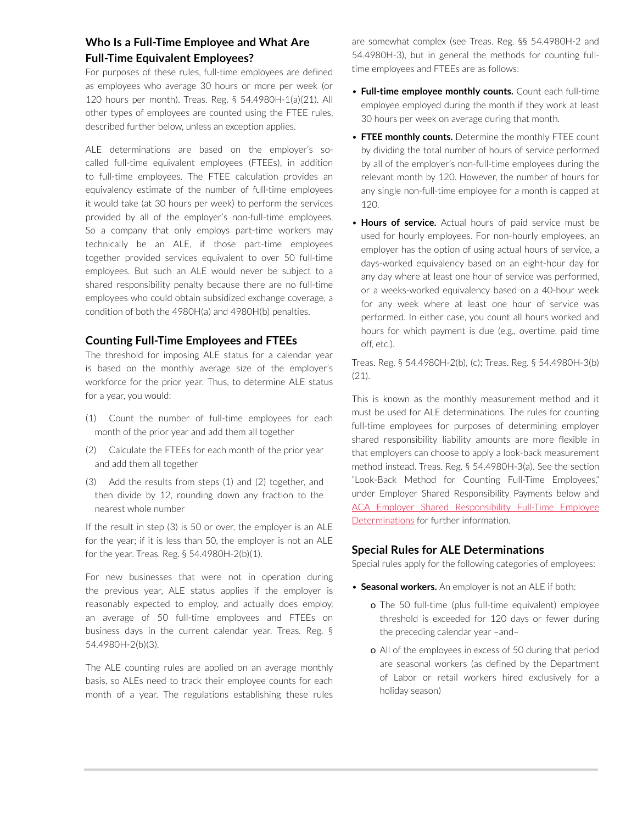## **Who Is a Full-Time Employee and What Are Full-Time Equivalent Employees?**

For purposes of these rules, full-time employees are defined as employees who average 30 hours or more per week (or 120 hours per month). Treas. Reg. § 54.4980H-1(a)(21). All other types of employees are counted using the FTEE rules, described further below, unless an exception applies.

ALE determinations are based on the employer's socalled full-time equivalent employees (FTEEs), in addition to full-time employees. The FTEE calculation provides an equivalency estimate of the number of full-time employees it would take (at 30 hours per week) to perform the services provided by all of the employer's non-full-time employees. So a company that only employs part-time workers may technically be an ALE, if those part-time employees together provided services equivalent to over 50 full-time employees. But such an ALE would never be subject to a shared responsibility penalty because there are no full-time employees who could obtain subsidized exchange coverage, a condition of both the 4980H(a) and 4980H(b) penalties.

#### **Counting Full-Time Employees and FTEEs**

The threshold for imposing ALE status for a calendar year is based on the monthly average size of the employer's workforce for the prior year. Thus, to determine ALE status for a year, you would:

- (1) Count the number of full-time employees for each month of the prior year and add them all together
- (2) Calculate the FTEEs for each month of the prior year and add them all together
- (3) Add the results from steps (1) and (2) together, and then divide by 12, rounding down any fraction to the nearest whole number

If the result in step (3) is 50 or over, the employer is an ALE for the year; if it is less than 50, the employer is not an ALE for the year. Treas. Reg. § 54.4980H-2(b)(1).

For new businesses that were not in operation during the previous year, ALE status applies if the employer is reasonably expected to employ, and actually does employ, an average of 50 full-time employees and FTEEs on business days in the current calendar year. Treas. Reg. § 54.4980H-2(b)(3).

The ALE counting rules are applied on an average monthly basis, so ALEs need to track their employee counts for each month of a year. The regulations establishing these rules are somewhat complex (see Treas. Reg. §§ 54.4980H-2 and 54.4980H-3), but in general the methods for counting fulltime employees and FTEEs are as follows:

- **Full-time employee monthly counts.** Count each full-time employee employed during the month if they work at least 30 hours per week on average during that month.
- **FTEE monthly counts.** Determine the monthly FTEE count by dividing the total number of hours of service performed by all of the employer's non-full-time employees during the relevant month by 120. However, the number of hours for any single non-full-time employee for a month is capped at 120.
- **Hours of service.** Actual hours of paid service must be used for hourly employees. For non-hourly employees, an employer has the option of using actual hours of service, a days-worked equivalency based on an eight-hour day for any day where at least one hour of service was performed, or a weeks-worked equivalency based on a 40-hour week for any week where at least one hour of service was performed. In either case, you count all hours worked and hours for which payment is due (e.g., overtime, paid time off, etc.).

Treas. Reg. § 54.4980H-2(b), (c); Treas. Reg. § 54.4980H-3(b) (21).

This is known as the monthly measurement method and it must be used for ALE determinations. The rules for counting full-time employees for purposes of determining employer shared responsibility liability amounts are more flexible in that employers can choose to apply a look-back measurement method instead. Treas. Reg. § 54.4980H-3(a). See the section "Look-Back Method for Counting Full-Time Employees," under Employer Shared Responsibility Payments below and [ACA Employer Shared Responsibility Full-Time Employee](https://advance.lexis.com/open/document/lpadocument/?pdmfid=1000522&pddocfullpath=%2Fshared%2Fdocument%2Fanalytical-materials%2Furn%3AcontentItem%3A5PJW-5P21-FGRY-B2MK-00000-00&pdcontentcomponentid=500749&pdteaserkey=sr0&pditab=allpods&ecomp=ptrg&earg=sr0) [Determinations](https://advance.lexis.com/open/document/lpadocument/?pdmfid=1000522&pddocfullpath=%2Fshared%2Fdocument%2Fanalytical-materials%2Furn%3AcontentItem%3A5PJW-5P21-FGRY-B2MK-00000-00&pdcontentcomponentid=500749&pdteaserkey=sr0&pditab=allpods&ecomp=ptrg&earg=sr0) for further information.

#### **Special Rules for ALE Determinations**

Special rules apply for the following categories of employees:

- **Seasonal workers.** An employer is not an ALE if both:
	- o The 50 full-time (plus full-time equivalent) employee threshold is exceeded for 120 days or fewer during the preceding calendar year –and–
	- o All of the employees in excess of 50 during that period are seasonal workers (as defined by the Department of Labor or retail workers hired exclusively for a holiday season)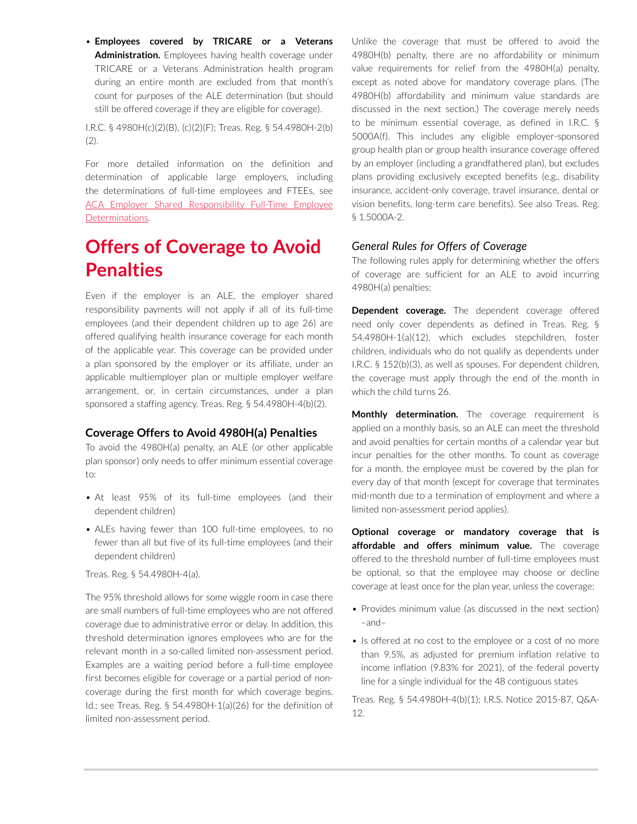• **Employees covered by TRICARE or a Veterans Administration.** Employees having health coverage under TRICARE or a Veterans Administration health program during an entire month are excluded from that month's count for purposes of the ALE determination (but should still be offered coverage if they are eligible for coverage).

I.R.C. § 4980H(c)(2)(B), (c)(2)(F); Treas. Reg. § 54.4980H-2(b) (2).

For more detailed information on the definition and determination of applicable large employers, including the determinations of full-time employees and FTEEs, see [ACA Employer Shared Responsibility Full-Time Employee](https://advance.lexis.com/open/document/lpadocument/?pdmfid=1000522&pddocfullpath=%2Fshared%2Fdocument%2Fanalytical-materials%2Furn%3AcontentItem%3A5PJW-5P21-FGRY-B2MK-00000-00&pdcontentcomponentid=500749&pdteaserkey=sr0&pditab=allpods&ecomp=ptrg&earg=sr0) [Determinations.](https://advance.lexis.com/open/document/lpadocument/?pdmfid=1000522&pddocfullpath=%2Fshared%2Fdocument%2Fanalytical-materials%2Furn%3AcontentItem%3A5PJW-5P21-FGRY-B2MK-00000-00&pdcontentcomponentid=500749&pdteaserkey=sr0&pditab=allpods&ecomp=ptrg&earg=sr0)

# **Offers of Coverage to Avoid Penalties**

Even if the employer is an ALE, the employer shared responsibility payments will not apply if all of its full-time employees (and their dependent children up to age 26) are offered qualifying health insurance coverage for each month of the applicable year. This coverage can be provided under a plan sponsored by the employer or its affiliate, under an applicable multiemployer plan or multiple employer welfare arrangement, or, in certain circumstances, under a plan sponsored a staffing agency. Treas. Reg. § 54.4980H-4(b)(2).

#### **Coverage Offers to Avoid 4980H(a) Penalties**

To avoid the 4980H(a) penalty, an ALE (or other applicable plan sponsor) only needs to offer minimum essential coverage to:

- At least 95% of its full-time employees (and their dependent children)
- ALEs having fewer than 100 full-time employees, to no fewer than all but five of its full-time employees (and their dependent children)

Treas. Reg. § 54.4980H-4(a).

The 95% threshold allows for some wiggle room in case there are small numbers of full-time employees who are not offered coverage due to administrative error or delay. In addition, this threshold determination ignores employees who are for the relevant month in a so-called limited non-assessment period. Examples are a waiting period before a full-time employee first becomes eligible for coverage or a partial period of noncoverage during the first month for which coverage begins. Id.; see Treas. Reg. § 54.4980H-1(a)(26) for the definition of limited non-assessment period.

Unlike the coverage that must be offered to avoid the 4980H(b) penalty, there are no affordability or minimum value requirements for relief from the 4980H(a) penalty, except as noted above for mandatory coverage plans. (The 4980H(b) affordability and minimum value standards are discussed in the next section.) The coverage merely needs to be minimum essential coverage, as defined in I.R.C. § 5000A(f). This includes any eligible employer-sponsored group health plan or group health insurance coverage offered by an employer (including a grandfathered plan), but excludes plans providing exclusively excepted benefits (e.g., disability insurance, accident-only coverage, travel insurance, dental or vision benefits, long-term care benefits). See also Treas. Reg. § 1.5000A-2.

#### *General Rules for Offers of Coverage*

The following rules apply for determining whether the offers of coverage are sufficient for an ALE to avoid incurring 4980H(a) penalties:

**Dependent coverage.** The dependent coverage offered need only cover dependents as defined in Treas. Reg. § 54.4980H-1(a)(12), which excludes stepchildren, foster children, individuals who do not qualify as dependents under I.R.C. § 152(b)(3), as well as spouses. For dependent children, the coverage must apply through the end of the month in which the child turns 26.

**Monthly determination.** The coverage requirement is applied on a monthly basis, so an ALE can meet the threshold and avoid penalties for certain months of a calendar year but incur penalties for the other months. To count as coverage for a month, the employee must be covered by the plan for every day of that month (except for coverage that terminates mid-month due to a termination of employment and where a limited non-assessment period applies).

**Optional coverage or mandatory coverage that is affordable and offers minimum value.** The coverage offered to the threshold number of full-time employees must be optional, so that the employee may choose or decline coverage at least once for the plan year, unless the coverage:

- Provides minimum value (as discussed in the next section) –and–
- Is offered at no cost to the employee or a cost of no more than 9.5%, as adjusted for premium inflation relative to income inflation (9.83% for 2021), of the federal poverty line for a single individual for the 48 contiguous states

Treas. Reg. § 54.4980H-4(b)(1); I.R.S. Notice 2015-87, Q&A-12.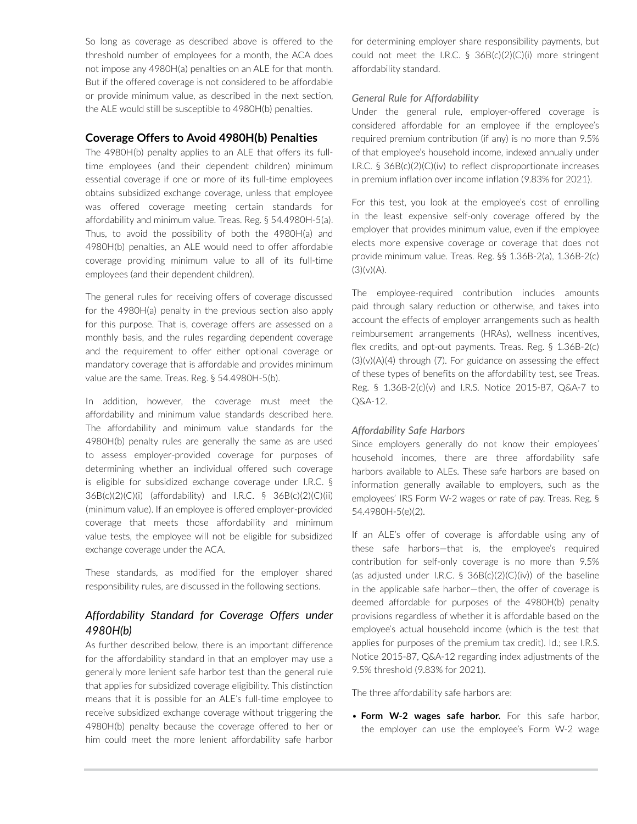So long as coverage as described above is offered to the threshold number of employees for a month, the ACA does not impose any 4980H(a) penalties on an ALE for that month. But if the offered coverage is not considered to be affordable or provide minimum value, as described in the next section, the ALE would still be susceptible to 4980H(b) penalties.

#### **Coverage Offers to Avoid 4980H(b) Penalties**

The 4980H(b) penalty applies to an ALE that offers its fulltime employees (and their dependent children) minimum essential coverage if one or more of its full-time employees obtains subsidized exchange coverage, unless that employee was offered coverage meeting certain standards for affordability and minimum value. Treas. Reg. § 54.4980H-5(a). Thus, to avoid the possibility of both the 4980H(a) and 4980H(b) penalties, an ALE would need to offer affordable coverage providing minimum value to all of its full-time employees (and their dependent children).

The general rules for receiving offers of coverage discussed for the 4980H(a) penalty in the previous section also apply for this purpose. That is, coverage offers are assessed on a monthly basis, and the rules regarding dependent coverage and the requirement to offer either optional coverage or mandatory coverage that is affordable and provides minimum value are the same. Treas. Reg. § 54.4980H-5(b).

In addition, however, the coverage must meet the affordability and minimum value standards described here. The affordability and minimum value standards for the 4980H(b) penalty rules are generally the same as are used to assess employer-provided coverage for purposes of determining whether an individual offered such coverage is eligible for subsidized exchange coverage under I.R.C. § 36B(c)(2)(C)(i) (affordability) and I.R.C. § 36B(c)(2)(C)(ii) (minimum value). If an employee is offered employer-provided coverage that meets those affordability and minimum value tests, the employee will not be eligible for subsidized exchange coverage under the ACA.

These standards, as modified for the employer shared responsibility rules, are discussed in the following sections.

#### *Affordability Standard for Coverage Offers under 4980H(b)*

As further described below, there is an important difference for the affordability standard in that an employer may use a generally more lenient safe harbor test than the general rule that applies for subsidized coverage eligibility. This distinction means that it is possible for an ALE's full-time employee to receive subsidized exchange coverage without triggering the 4980H(b) penalty because the coverage offered to her or him could meet the more lenient affordability safe harbor for determining employer share responsibility payments, but could not meet the I.R.C.  $\S$  36B(c)(2)(C)(i) more stringent affordability standard.

#### *General Rule for Affordability*

Under the general rule, employer-offered coverage is considered affordable for an employee if the employee's required premium contribution (if any) is no more than 9.5% of that employee's household income, indexed annually under I.R.C. § 36B(c)(2)(C)(iv) to reflect disproportionate increases in premium inflation over income inflation (9.83% for 2021).

For this test, you look at the employee's cost of enrolling in the least expensive self-only coverage offered by the employer that provides minimum value, even if the employee elects more expensive coverage or coverage that does not provide minimum value. Treas. Reg. §§ 1.36B-2(a), 1.36B-2(c)  $(3)(v)(A)$ .

The employee-required contribution includes amounts paid through salary reduction or otherwise, and takes into account the effects of employer arrangements such as health reimbursement arrangements (HRAs), wellness incentives, flex credits, and opt-out payments. Treas. Reg. § 1.36B-2(c) (3)(v)(A)(4) through (7). For guidance on assessing the effect of these types of benefits on the affordability test, see Treas. Reg. § 1.36B-2(c)(v) and I.R.S. Notice 2015-87, Q&A-7 to Q&A-12.

#### *Affordability Safe Harbors*

Since employers generally do not know their employees' household incomes, there are three affordability safe harbors available to ALEs. These safe harbors are based on information generally available to employers, such as the employees' IRS Form W-2 wages or rate of pay. Treas. Reg. § 54.4980H-5(e)(2).

If an ALE's offer of coverage is affordable using any of these safe harbors—that is, the employee's required contribution for self-only coverage is no more than 9.5% (as adjusted under I.R.C. §  $36B(c)(2)(C)(iv)$ ) of the baseline in the applicable safe harbor—then, the offer of coverage is deemed affordable for purposes of the 4980H(b) penalty provisions regardless of whether it is affordable based on the employee's actual household income (which is the test that applies for purposes of the premium tax credit). Id.; see I.R.S. Notice 2015-87, Q&A-12 regarding index adjustments of the 9.5% threshold (9.83% for 2021).

The three affordability safe harbors are:

• **Form W-2 wages safe harbor.** For this safe harbor, the employer can use the employee's Form W-2 wage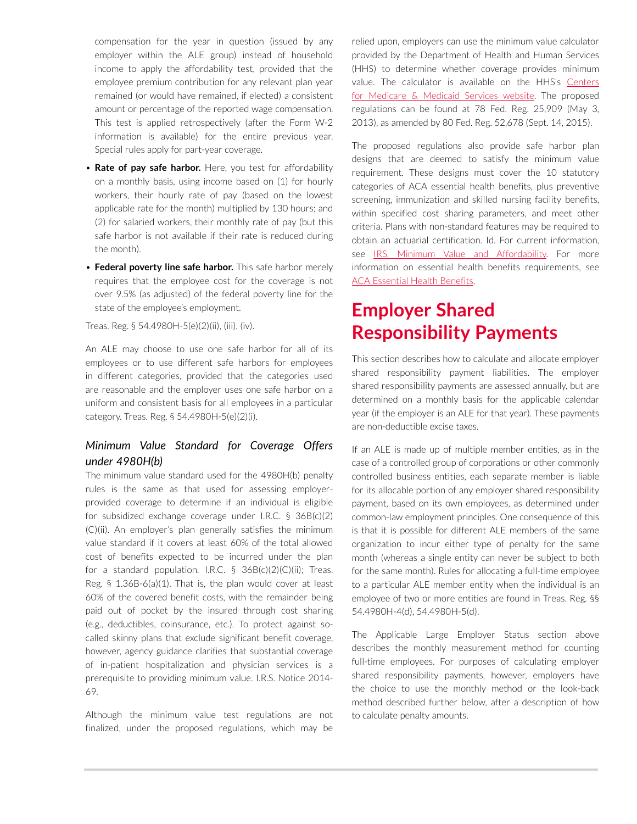compensation for the year in question (issued by any employer within the ALE group) instead of household income to apply the affordability test, provided that the employee premium contribution for any relevant plan year remained (or would have remained, if elected) a consistent amount or percentage of the reported wage compensation. This test is applied retrospectively (after the Form W-2 information is available) for the entire previous year. Special rules apply for part-year coverage.

- **Rate of pay safe harbor.** Here, you test for affordability on a monthly basis, using income based on (1) for hourly workers, their hourly rate of pay (based on the lowest applicable rate for the month) multiplied by 130 hours; and (2) for salaried workers, their monthly rate of pay (but this safe harbor is not available if their rate is reduced during the month).
- **Federal poverty line safe harbor.** This safe harbor merely requires that the employee cost for the coverage is not over 9.5% (as adjusted) of the federal poverty line for the state of the employee's employment.

Treas. Reg. § 54.4980H-5(e)(2)(ii), (iii), (iv).

An ALE may choose to use one safe harbor for all of its employees or to use different safe harbors for employees in different categories, provided that the categories used are reasonable and the employer uses one safe harbor on a uniform and consistent basis for all employees in a particular category. Treas. Reg. § 54.4980H-5(e)(2)(i).

#### *Minimum Value Standard for Coverage Offers under 4980H(b)*

The minimum value standard used for the 4980H(b) penalty rules is the same as that used for assessing employerprovided coverage to determine if an individual is eligible for subsidized exchange coverage under I.R.C. § 36B(c)(2) (C)(ii). An employer's plan generally satisfies the minimum value standard if it covers at least 60% of the total allowed cost of benefits expected to be incurred under the plan for a standard population. I.R.C. § 36B(c)(2)(C)(ii); Treas. Reg. § 1.36B-6(a)(1). That is, the plan would cover at least 60% of the covered benefit costs, with the remainder being paid out of pocket by the insured through cost sharing (e.g., deductibles, coinsurance, etc.). To protect against socalled skinny plans that exclude significant benefit coverage, however, agency guidance clarifies that substantial coverage of in-patient hospitalization and physician services is a prerequisite to providing minimum value. I.R.S. Notice 2014- 69.

Although the minimum value test regulations are not finalized, under the proposed regulations, which may be relied upon, employers can use the minimum value calculator provided by the Department of Health and Human Services (HHS) to determine whether coverage provides minimum value. The calculator is available on the HHS's [Centers](https://www.cms.gov/cciio/resources/regulations-and-guidance/index.html) [for Medicare & Medicaid Services website.](https://www.cms.gov/cciio/resources/regulations-and-guidance/index.html) The proposed regulations can be found at 78 Fed. Reg. 25,909 (May 3, 2013), as amended by 80 Fed. Reg. 52,678 (Sept. 14, 2015).

The proposed regulations also provide safe harbor plan designs that are deemed to satisfy the minimum value requirement. These designs must cover the 10 statutory categories of ACA essential health benefits, plus preventive screening, immunization and skilled nursing facility benefits, within specified cost sharing parameters, and meet other criteria. Plans with non-standard features may be required to obtain an actuarial certification. Id. For current information, see **[IRS, Minimum Value and Affordability](https://www.irs.gov/affordable-care-act/employers/minimum-value-and-affordability).** For more information on essential health benefits requirements, see **[ACA Essential Health Benefits](https://advance.lexis.com/open/document/lpadocument/?pdmfid=1000522&pddocfullpath=%2Fshared%2Fdocument%2Fanalytical-materials%2Furn%3AcontentItem%3A5T28-6P31-F900-G1JV-00000-00&pdcontentcomponentid=500749&pdteaserkey=sr0&pditab=allpods&ecomp=ptrg&earg=sr0).** 

# **Employer Shared Responsibility Payments**

This section describes how to calculate and allocate employer shared responsibility payment liabilities. The employer shared responsibility payments are assessed annually, but are determined on a monthly basis for the applicable calendar year (if the employer is an ALE for that year). These payments are non-deductible excise taxes.

If an ALE is made up of multiple member entities, as in the case of a controlled group of corporations or other commonly controlled business entities, each separate member is liable for its allocable portion of any employer shared responsibility payment, based on its own employees, as determined under common-law employment principles. One consequence of this is that it is possible for different ALE members of the same organization to incur either type of penalty for the same month (whereas a single entity can never be subject to both for the same month). Rules for allocating a full-time employee to a particular ALE member entity when the individual is an employee of two or more entities are found in Treas. Reg. §§ 54.4980H-4(d), 54.4980H-5(d).

The Applicable Large Employer Status section above describes the monthly measurement method for counting full-time employees. For purposes of calculating employer shared responsibility payments, however, employers have the choice to use the monthly method or the look-back method described further below, after a description of how to calculate penalty amounts.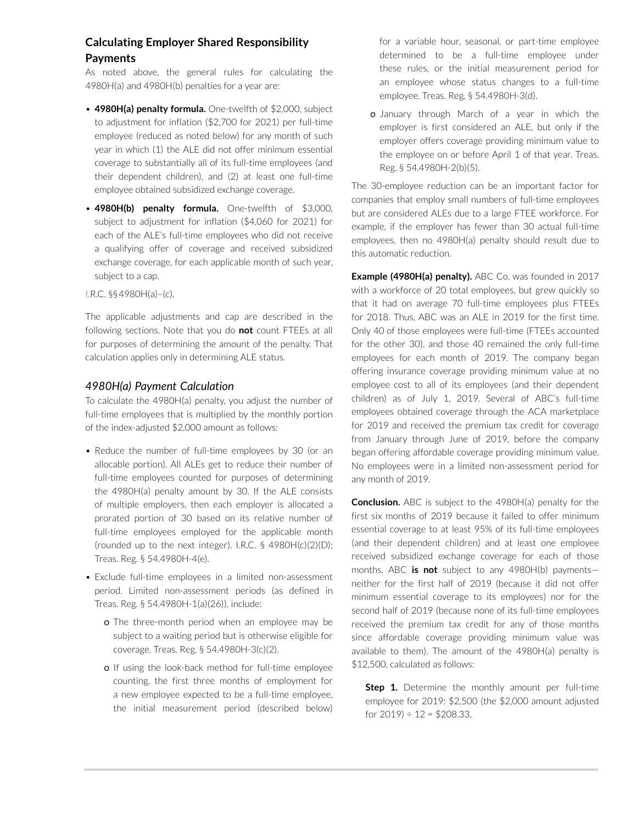## **Calculating Employer Shared Responsibility Payments**

As noted above, the general rules for calculating the 4980H(a) and 4980H(b) penalties for a year are:

- **4980H(a) penalty formula.** One-twelfth of \$2,000, subject to adjustment for inflation (\$2,700 for 2021) per full-time employee (reduced as noted below) for any month of such year in which (1) the ALE did not offer minimum essential coverage to substantially all of its full-time employees (and their dependent children), and (2) at least one full-time employee obtained subsidized exchange coverage.
- **4980H(b) penalty formula.** One-twelfth of \$3,000, subject to adjustment for inflation (\$4,060 for 2021) for each of the ALE's full-time employees who did not receive a qualifying offer of coverage and received subsidized exchange coverage, for each applicable month of such year, subject to a cap.

I.R.C. §§4980H(a)–(c).

The applicable adjustments and cap are described in the following sections. Note that you do **not** count FTEEs at all for purposes of determining the amount of the penalty. That calculation applies only in determining ALE status.

#### *4980H(a) Payment Calculation*

To calculate the 4980H(a) penalty, you adjust the number of full-time employees that is multiplied by the monthly portion of the index-adjusted \$2,000 amount as follows:

- Reduce the number of full-time employees by 30 (or an allocable portion). All ALEs get to reduce their number of full-time employees counted for purposes of determining the 4980H(a) penalty amount by 30. If the ALE consists of multiple employers, then each employer is allocated a prorated portion of 30 based on its relative number of full-time employees employed for the applicable month (rounded up to the next integer). I.R.C.  $\frac{5}{9}$  4980H(c)(2)(D); Treas. Reg. § 54.4980H-4(e).
- Exclude full-time employees in a limited non-assessment period. Limited non-assessment periods (as defined in Treas. Reg. § 54.4980H-1(a)(26)), include:
	- o The three-month period when an employee may be subject to a waiting period but is otherwise eligible for coverage. Treas. Reg. § 54.4980H-3(c)(2).
	- o If using the look-back method for full-time employee counting, the first three months of employment for a new employee expected to be a full-time employee, the initial measurement period (described below)

for a variable hour, seasonal, or part-time employee determined to be a full-time employee under these rules, or the initial measurement period for an employee whose status changes to a full-time employee. Treas. Reg. § 54.4980H-3(d).

o January through March of a year in which the employer is first considered an ALE, but only if the employer offers coverage providing minimum value to the employee on or before April 1 of that year. Treas. Reg. § 54.4980H-2(b)(5).

The 30-employee reduction can be an important factor for companies that employ small numbers of full-time employees but are considered ALEs due to a large FTEE workforce. For example, if the employer has fewer than 30 actual full-time employees, then no 4980H(a) penalty should result due to this automatic reduction.

**Example (4980H(a) penalty).** ABC Co. was founded in 2017 with a workforce of 20 total employees, but grew quickly so that it had on average 70 full-time employees plus FTEEs for 2018. Thus, ABC was an ALE in 2019 for the first time. Only 40 of those employees were full-time (FTEEs accounted for the other 30), and those 40 remained the only full-time employees for each month of 2019. The company began offering insurance coverage providing minimum value at no employee cost to all of its employees (and their dependent children) as of July 1, 2019. Several of ABC's full-time employees obtained coverage through the ACA marketplace for 2019 and received the premium tax credit for coverage from January through June of 2019, before the company began offering affordable coverage providing minimum value. No employees were in a limited non-assessment period for any month of 2019.

**Conclusion.** ABC is subject to the 4980H(a) penalty for the first six months of 2019 because it failed to offer minimum essential coverage to at least 95% of its full-time employees (and their dependent children) and at least one employee received subsidized exchange coverage for each of those months. ABC **is not** subject to any 4980H(b) payments neither for the first half of 2019 (because it did not offer minimum essential coverage to its employees) nor for the second half of 2019 (because none of its full-time employees received the premium tax credit for any of those months since affordable coverage providing minimum value was available to them). The amount of the 4980H(a) penalty is \$12,500, calculated as follows:

**Step 1.** Determine the monthly amount per full-time employee for 2019: \$2,500 (the \$2,000 amount adjusted for  $2019$  ÷  $12 = $208.33$ .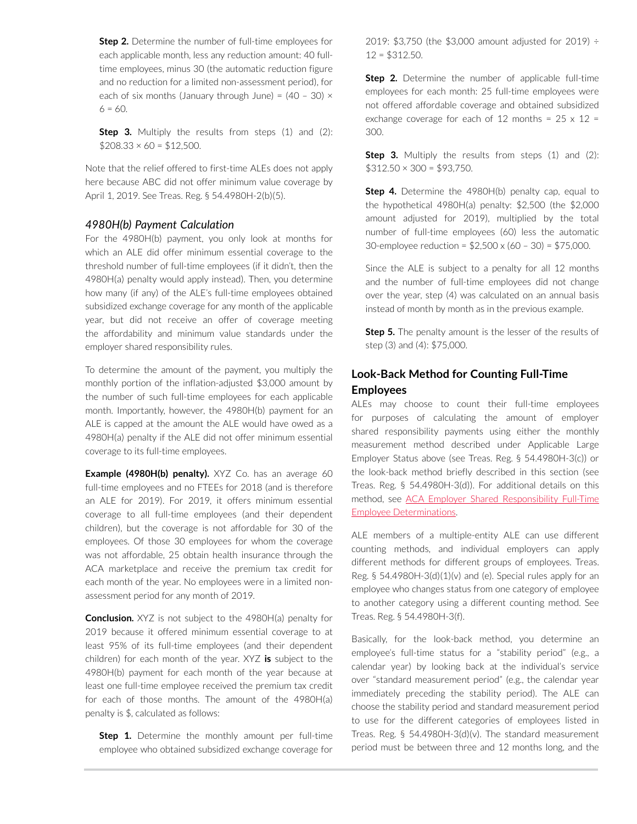**Step 2.** Determine the number of full-time employees for each applicable month, less any reduction amount: 40 fulltime employees, minus 30 (the automatic reduction figure and no reduction for a limited non-assessment period), for each of six months (January through June) =  $(40 - 30) \times$  $6 = 60.$ 

**Step 3.** Multiply the results from steps (1) and (2):  $$208.33 \times 60 = $12.500$ .

Note that the relief offered to first-time ALEs does not apply here because ABC did not offer minimum value coverage by April 1, 2019. See Treas. Reg. § 54.4980H-2(b)(5).

#### *4980H(b) Payment Calculation*

For the 4980H(b) payment, you only look at months for which an ALE did offer minimum essential coverage to the threshold number of full-time employees (if it didn't, then the 4980H(a) penalty would apply instead). Then, you determine how many (if any) of the ALE's full-time employees obtained subsidized exchange coverage for any month of the applicable year, but did not receive an offer of coverage meeting the affordability and minimum value standards under the employer shared responsibility rules.

To determine the amount of the payment, you multiply the monthly portion of the inflation-adjusted \$3,000 amount by the number of such full-time employees for each applicable month. Importantly, however, the 4980H(b) payment for an ALE is capped at the amount the ALE would have owed as a 4980H(a) penalty if the ALE did not offer minimum essential coverage to its full-time employees.

**Example (4980H(b) penalty).** XYZ Co. has an average 60 full-time employees and no FTEEs for 2018 (and is therefore an ALE for 2019). For 2019, it offers minimum essential coverage to all full-time employees (and their dependent children), but the coverage is not affordable for 30 of the employees. Of those 30 employees for whom the coverage was not affordable, 25 obtain health insurance through the ACA marketplace and receive the premium tax credit for each month of the year. No employees were in a limited nonassessment period for any month of 2019.

**Conclusion.** XYZ is not subject to the 4980H(a) penalty for 2019 because it offered minimum essential coverage to at least 95% of its full-time employees (and their dependent children) for each month of the year. XYZ **is** subject to the 4980H(b) payment for each month of the year because at least one full-time employee received the premium tax credit for each of those months. The amount of the 4980H(a) penalty is \$, calculated as follows:

**Step 1.** Determine the monthly amount per full-time employee who obtained subsidized exchange coverage for 2019: \$3,750 (the \$3,000 amount adjusted for 2019) ÷  $12 = $312.50$ .

**Step 2.** Determine the number of applicable full-time employees for each month: 25 full-time employees were not offered affordable coverage and obtained subsidized exchange coverage for each of 12 months =  $25 \times 12 =$ 300.

**Step 3.** Multiply the results from steps (1) and (2):  $$312.50 \times 300 = $93.750$ .

**Step 4.** Determine the 4980H(b) penalty cap, equal to the hypothetical 4980H(a) penalty: \$2,500 (the \$2,000 amount adjusted for 2019), multiplied by the total number of full-time employees (60) less the automatic 30-employee reduction = \$2,500 x (60 – 30) = \$75,000.

Since the ALE is subject to a penalty for all 12 months and the number of full-time employees did not change over the year, step (4) was calculated on an annual basis instead of month by month as in the previous example.

**Step 5.** The penalty amount is the lesser of the results of step (3) and (4): \$75,000.

## **Look-Back Method for Counting Full-Time Employees**

ALEs may choose to count their full-time employees for purposes of calculating the amount of employer shared responsibility payments using either the monthly measurement method described under Applicable Large Employer Status above (see Treas. Reg. § 54.4980H-3(c)) or the look-back method briefly described in this section (see Treas. Reg. § 54.4980H-3(d)). For additional details on this method, see [ACA Employer Shared Responsibility Full-Time](https://advance.lexis.com/open/document/lpadocument/?pdmfid=1000522&pddocfullpath=%2Fshared%2Fdocument%2Fanalytical-materials%2Furn%3AcontentItem%3A5PJW-5P21-FGRY-B2MK-00000-00&pdcontentcomponentid=500749&pdteaserkey=sr0&pditab=allpods&ecomp=ptrg&earg=sr0)  [Employee Determinations](https://advance.lexis.com/open/document/lpadocument/?pdmfid=1000522&pddocfullpath=%2Fshared%2Fdocument%2Fanalytical-materials%2Furn%3AcontentItem%3A5PJW-5P21-FGRY-B2MK-00000-00&pdcontentcomponentid=500749&pdteaserkey=sr0&pditab=allpods&ecomp=ptrg&earg=sr0).

ALE members of a multiple-entity ALE can use different counting methods, and individual employers can apply different methods for different groups of employees. Treas. Reg. § 54.4980H-3(d) $(1)(v)$  and (e). Special rules apply for an employee who changes status from one category of employee to another category using a different counting method. See Treas. Reg. § 54.4980H-3(f).

Basically, for the look-back method, you determine an employee's full-time status for a "stability period" (e.g., a calendar year) by looking back at the individual's service over "standard measurement period" (e.g., the calendar year immediately preceding the stability period). The ALE can choose the stability period and standard measurement period to use for the different categories of employees listed in Treas. Reg. § 54.4980H-3(d)(v). The standard measurement period must be between three and 12 months long, and the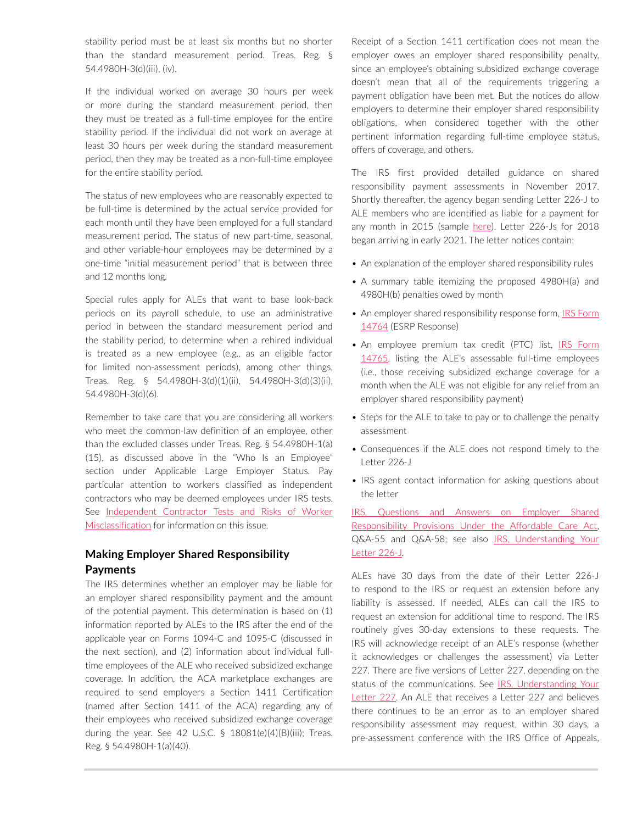stability period must be at least six months but no shorter than the standard measurement period. Treas. Reg. § 54.4980H-3(d)(iii), (iv).

If the individual worked on average 30 hours per week or more during the standard measurement period, then they must be treated as a full-time employee for the entire stability period. If the individual did not work on average at least 30 hours per week during the standard measurement period, then they may be treated as a non-full-time employee for the entire stability period.

The status of new employees who are reasonably expected to be full-time is determined by the actual service provided for each month until they have been employed for a full standard measurement period. The status of new part-time, seasonal, and other variable-hour employees may be determined by a one-time "initial measurement period" that is between three and 12 months long.

Special rules apply for ALEs that want to base look-back periods on its payroll schedule, to use an administrative period in between the standard measurement period and the stability period, to determine when a rehired individual is treated as a new employee (e.g., as an eligible factor for limited non-assessment periods), among other things. Treas. Reg. § 54.4980H-3(d)(1)(ii), 54.4980H-3(d)(3)(ii), 54.4980H-3(d)(6).

Remember to take care that you are considering all workers who meet the common-law definition of an employee, other than the excluded classes under Treas. Reg. § 54.4980H-1(a) (15), as discussed above in the "Who Is an Employee" section under Applicable Large Employer Status. Pay particular attention to workers classified as independent contractors who may be deemed employees under IRS tests. See [Independent Contractor Tests and Risks of Worker](https://advance.lexis.com/open/document/lpadocument/?pdmfid=1000522&pddocfullpath=%2Fshared%2Fdocument%2Fanalytical-materials%2Furn%3AcontentItem%3A5D3S-YH11-F8SS-6129-00000-00&pdcontentcomponentid=500749&pdteaserkey=sr0&pditab=allpods&ecomp=ptrg&earg=sr0) [Misclassification](https://advance.lexis.com/open/document/lpadocument/?pdmfid=1000522&pddocfullpath=%2Fshared%2Fdocument%2Fanalytical-materials%2Furn%3AcontentItem%3A5D3S-YH11-F8SS-6129-00000-00&pdcontentcomponentid=500749&pdteaserkey=sr0&pditab=allpods&ecomp=ptrg&earg=sr0) for information on this issue.

## **Making Employer Shared Responsibility Payments**

The IRS determines whether an employer may be liable for an employer shared responsibility payment and the amount of the potential payment. This determination is based on (1) information reported by ALEs to the IRS after the end of the applicable year on Forms 1094-C and 1095-C (discussed in the next section), and (2) information about individual fulltime employees of the ALE who received subsidized exchange coverage. In addition, the ACA marketplace exchanges are required to send employers a Section 1411 Certification (named after Section 1411 of the ACA) regarding any of their employees who received subsidized exchange coverage during the year. See 42 U.S.C. § 18081(e)(4)(B)(iii); Treas. Reg. § 54.4980H-1(a)(40).

Receipt of a Section 1411 certification does not mean the employer owes an employer shared responsibility penalty, since an employee's obtaining subsidized exchange coverage doesn't mean that all of the requirements triggering a payment obligation have been met. But the notices do allow employers to determine their employer shared responsibility obligations, when considered together with the other pertinent information regarding full-time employee status, offers of coverage, and others.

The IRS first provided detailed guidance on shared responsibility payment assessments in November 2017. Shortly thereafter, the agency began sending Letter 226-J to ALE members who are identified as liable for a payment for any month in 2015 (sample [here](https://www.irs.gov/pub/notices/ltr226j.pdf)). Letter 226-Js for 2018 began arriving in early 2021. The letter notices contain:

- An explanation of the employer shared responsibility rules
- A summary table itemizing the proposed 4980H(a) and 4980H(b) penalties owed by month
- An employer shared responsibility response form, IRS Form [14764](https://www.irs.gov/pub/irs-pdf/f14764.pdf) (ESRP Response)
- An employee premium tax credit (PTC) list, [IRS Form](https://www.irs.gov/pub/irs-pdf/f14765.pdf)  [14765](https://www.irs.gov/pub/irs-pdf/f14765.pdf), listing the ALE's assessable full-time employees (i.e., those receiving subsidized exchange coverage for a month when the ALE was not eligible for any relief from an employer shared responsibility payment)
- Steps for the ALE to take to pay or to challenge the penalty assessment
- Consequences if the ALE does not respond timely to the Letter 226-J
- IRS agent contact information for asking questions about the letter

[IRS, Questions and Answers on Employer Shared](https://www.irs.gov/affordable-care-act/employers/questions-and-answers-on-employer-shared-responsibility-provisions-under-the-affordable-care-act)  [Responsibility Provisions Under the Affordable Care Act](https://www.irs.gov/affordable-care-act/employers/questions-and-answers-on-employer-shared-responsibility-provisions-under-the-affordable-care-act), Q&A-55 and Q&A-58; see also [IRS, Understanding Your](https://www.irs.gov/individuals/understanding-your-letter-226-j) [Letter 226-J](https://www.irs.gov/individuals/understanding-your-letter-226-j).

ALEs have 30 days from the date of their Letter 226-J to respond to the IRS or request an extension before any liability is assessed. If needed, ALEs can call the IRS to request an extension for additional time to respond. The IRS routinely gives 30-day extensions to these requests. The IRS will acknowledge receipt of an ALE's response (whether it acknowledges or challenges the assessment) via Letter 227. There are five versions of Letter 227, depending on the status of the communications. See [IRS, Understanding Your](https://www.irs.gov/individuals/understanding-your-letter-227)  [Letter 227.](https://www.irs.gov/individuals/understanding-your-letter-227) An ALE that receives a Letter 227 and believes there continues to be an error as to an employer shared responsibility assessment may request, within 30 days, a pre-assessment conference with the IRS Office of Appeals,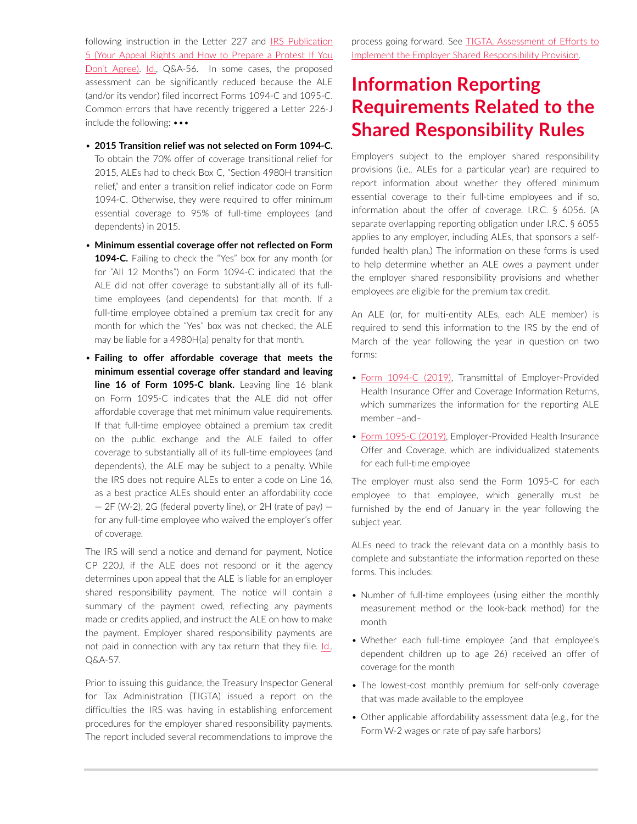following instruction in the Letter 227 and IRS Publication [5 \(Your Appeal Rights and How to Prepare a Protest If You](https://www.irs.gov/pub/irs-pdf/p5.pdf)  [Don't Agree\).](https://www.irs.gov/pub/irs-pdf/p5.pdf) [Id.,](https://www.irs.gov/affordable-care-act/employers/questions-and-answers-on-employer-shared-responsibility-provisions-under-the-affordable-care-act) Q&A-56. In some cases, the proposed assessment can be significantly reduced because the ALE (and/or its vendor) filed incorrect Forms 1094-C and 1095-C. Common errors that have recently triggered a Letter 226-J include the following: •••

- **2015 Transition relief was not selected on Form 1094-C.** To obtain the 70% offer of coverage transitional relief for 2015, ALEs had to check Box C, "Section 4980H transition relief," and enter a transition relief indicator code on Form 1094-C. Otherwise, they were required to offer minimum essential coverage to 95% of full-time employees (and dependents) in 2015.
- **Minimum essential coverage offer not reflected on Form 1094-C.** Failing to check the "Yes" box for any month (or for "All 12 Months") on Form 1094-C indicated that the ALE did not offer coverage to substantially all of its fulltime employees (and dependents) for that month. If a full-time employee obtained a premium tax credit for any month for which the "Yes" box was not checked, the ALE may be liable for a 4980H(a) penalty for that month.
- **Failing to offer affordable coverage that meets the minimum essential coverage offer standard and leaving**  line 16 of Form 1095-C blank. Leaving line 16 blank on Form 1095-C indicates that the ALE did not offer affordable coverage that met minimum value requirements. If that full-time employee obtained a premium tax credit on the public exchange and the ALE failed to offer coverage to substantially all of its full-time employees (and dependents), the ALE may be subject to a penalty. While the IRS does not require ALEs to enter a code on Line 16, as a best practice ALEs should enter an affordability code — 2F (W-2), 2G (federal poverty line), or 2H (rate of pay) for any full-time employee who waived the employer's offer of coverage.

The IRS will send a notice and demand for payment, Notice CP 220J, if the ALE does not respond or it the agency determines upon appeal that the ALE is liable for an employer shared responsibility payment. The notice will contain a summary of the payment owed, reflecting any payments made or credits applied, and instruct the ALE on how to make the payment. Employer shared responsibility payments are not paid in connection with any tax return that they file. [Id.](https://www.irs.gov/affordable-care-act/employers/questions-and-answers-on-employer-shared-responsibility-provisions-under-the-affordable-care-act), Q&A-57.

Prior to issuing this guidance, the Treasury Inspector General for Tax Administration (TIGTA) issued a report on the difficulties the IRS was having in establishing enforcement procedures for the employer shared responsibility payments. The report included several recommendations to improve the process going forward. See [TIGTA, Assessment of Efforts to](https://www.treasury.gov/tigta/auditreports/2017reports/201743027fr.pdf)  [Implement the Employer Shared Responsibility Provision.](https://www.treasury.gov/tigta/auditreports/2017reports/201743027fr.pdf)

# **Information Reporting Requirements Related to the Shared Responsibility Rules**

Employers subject to the employer shared responsibility provisions (i.e., ALEs for a particular year) are required to report information about whether they offered minimum essential coverage to their full-time employees and if so, information about the offer of coverage. I.R.C. § 6056. (A separate overlapping reporting obligation under I.R.C. § 6055 applies to any employer, including ALEs, that sponsors a selffunded health plan.) The information on these forms is used to help determine whether an ALE owes a payment under the employer shared responsibility provisions and whether employees are eligible for the premium tax credit.

An ALE (or, for multi-entity ALEs, each ALE member) is required to send this information to the IRS by the end of March of the year following the year in question on two forms:

- [Form 1094-C \(2019\),](https://www.irs.gov/pub/irs-pdf/f1094c.pdf) Transmittal of Employer-Provided Health Insurance Offer and Coverage Information Returns, which summarizes the information for the reporting ALE member –and–
- [Form 1095-C \(2019\),](https://www.irs.gov/pub/irs-pdf/f1095c.pdf) Employer-Provided Health Insurance Offer and Coverage, which are individualized statements for each full-time employee

The employer must also send the Form 1095-C for each employee to that employee, which generally must be furnished by the end of January in the year following the subject year.

ALEs need to track the relevant data on a monthly basis to complete and substantiate the information reported on these forms. This includes:

- Number of full-time employees (using either the monthly measurement method or the look-back method) for the month
- Whether each full-time employee (and that employee's dependent children up to age 26) received an offer of coverage for the month
- The lowest-cost monthly premium for self-only coverage that was made available to the employee
- Other applicable affordability assessment data (e.g., for the Form W-2 wages or rate of pay safe harbors)